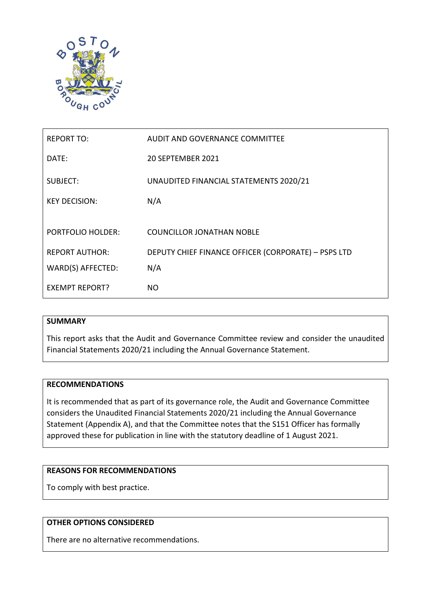

| <b>REPORT TO:</b>        | AUDIT AND GOVERNANCE COMMITTEE                      |
|--------------------------|-----------------------------------------------------|
| DATE:                    | 20 SEPTEMBER 2021                                   |
| <b>SUBJECT:</b>          | UNAUDITED FINANCIAL STATEMENTS 2020/21              |
| <b>KEY DECISION:</b>     | N/A                                                 |
|                          |                                                     |
| <b>PORTFOLIO HOLDER:</b> | <b>COUNCILLOR JONATHAN NOBLE</b>                    |
| <b>REPORT AUTHOR:</b>    | DEPUTY CHIEF FINANCE OFFICER (CORPORATE) - PSPS LTD |
| WARD(S) AFFECTED:        | N/A                                                 |
| <b>EXEMPT REPORT?</b>    | NO.                                                 |

# **SUMMARY**

This report asks that the Audit and Governance Committee review and consider the unaudited Financial Statements 2020/21 including the Annual Governance Statement.

# **RECOMMENDATIONS**

It is recommended that as part of its governance role, the Audit and Governance Committee considers the Unaudited Financial Statements 2020/21 including the Annual Governance Statement (Appendix A), and that the Committee notes that the S151 Officer has formally approved these for publication in line with the statutory deadline of 1 August 2021.

# **REASONS FOR RECOMMENDATIONS**

To comply with best practice.

# **OTHER OPTIONS CONSIDERED**

There are no alternative recommendations.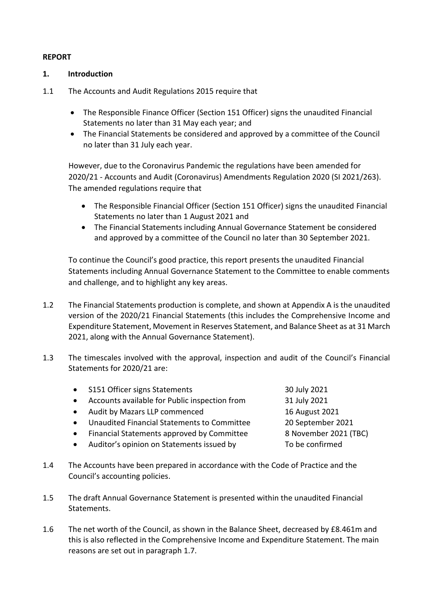# **REPORT**

# **1. Introduction**

- 1.1 The Accounts and Audit Regulations 2015 require that
	- The Responsible Finance Officer (Section 151 Officer) signs the unaudited Financial Statements no later than 31 May each year; and
	- The Financial Statements be considered and approved by a committee of the Council no later than 31 July each year.

However, due to the Coronavirus Pandemic the regulations have been amended for 2020/21 - Accounts and Audit (Coronavirus) Amendments Regulation 2020 (SI 2021/263). The amended regulations require that

- The Responsible Financial Officer (Section 151 Officer) signs the unaudited Financial Statements no later than 1 August 2021 and
- The Financial Statements including Annual Governance Statement be considered and approved by a committee of the Council no later than 30 September 2021.

To continue the Council's good practice, this report presents the unaudited Financial Statements including Annual Governance Statement to the Committee to enable comments and challenge, and to highlight any key areas.

- 1.2 The Financial Statements production is complete, and shown at Appendix A is the unaudited version of the 2020/21 Financial Statements (this includes the Comprehensive Income and Expenditure Statement, Movement in Reserves Statement, and Balance Sheet as at 31 March 2021, along with the Annual Governance Statement).
- 1.3 The timescales involved with the approval, inspection and audit of the Council's Financial Statements for 2020/21 are:

|           | • S151 Officer signs Statements               | 30 July 2021          |
|-----------|-----------------------------------------------|-----------------------|
| $\bullet$ | Accounts available for Public inspection from | 31 July 2021          |
|           | • Audit by Mazars LLP commenced               | 16 August 2021        |
| $\bullet$ | Unaudited Financial Statements to Committee   | 20 September 2021     |
| $\bullet$ | Financial Statements approved by Committee    | 8 November 2021 (TBC) |
|           | • Auditor's opinion on Statements issued by   | To be confirmed       |

- 1.4 The Accounts have been prepared in accordance with the Code of Practice and the Council's accounting policies.
- 1.5 The draft Annual Governance Statement is presented within the unaudited Financial **Statements**
- 1.6 The net worth of the Council, as shown in the Balance Sheet, decreased by £8.461m and this is also reflected in the Comprehensive Income and Expenditure Statement. The main reasons are set out in paragraph 1.7.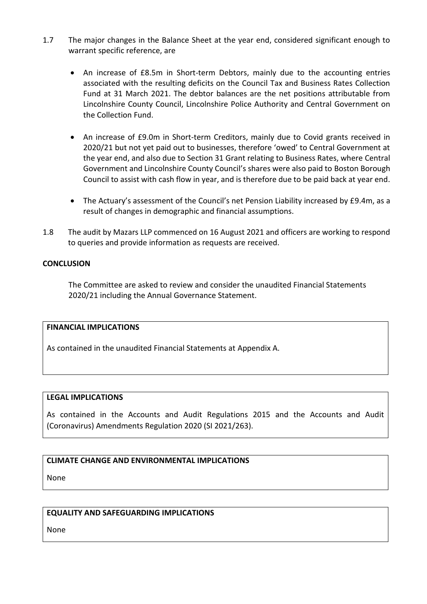- 1.7 The major changes in the Balance Sheet at the year end, considered significant enough to warrant specific reference, are
	- An increase of £8.5m in Short-term Debtors, mainly due to the accounting entries associated with the resulting deficits on the Council Tax and Business Rates Collection Fund at 31 March 2021. The debtor balances are the net positions attributable from Lincolnshire County Council, Lincolnshire Police Authority and Central Government on the Collection Fund.
	- An increase of £9.0m in Short-term Creditors, mainly due to Covid grants received in 2020/21 but not yet paid out to businesses, therefore 'owed' to Central Government at the year end, and also due to Section 31 Grant relating to Business Rates, where Central Government and Lincolnshire County Council's shares were also paid to Boston Borough Council to assist with cash flow in year, and is therefore due to be paid back at year end.
	- The Actuary's assessment of the Council's net Pension Liability increased by £9.4m, as a result of changes in demographic and financial assumptions.
- 1.8 The audit by Mazars LLP commenced on 16 August 2021 and officers are working to respond to queries and provide information as requests are received.

# **CONCLUSION**

The Committee are asked to review and consider the unaudited Financial Statements 2020/21 including the Annual Governance Statement.

# **FINANCIAL IMPLICATIONS**

As contained in the unaudited Financial Statements at Appendix A.

# **LEGAL IMPLICATIONS**

As contained in the Accounts and Audit Regulations 2015 and the Accounts and Audit (Coronavirus) Amendments Regulation 2020 (SI 2021/263).

# **CLIMATE CHANGE AND ENVIRONMENTAL IMPLICATIONS**

None

# **EQUALITY AND SAFEGUARDING IMPLICATIONS**

None